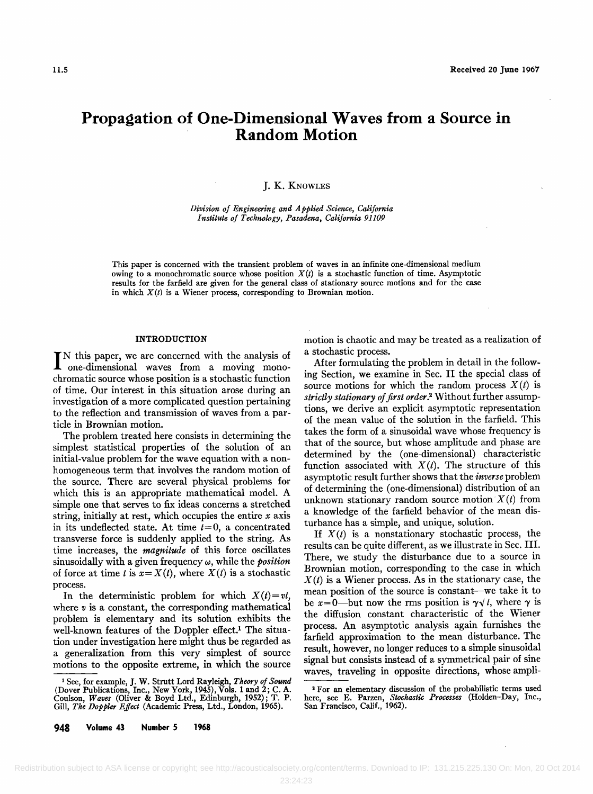# **Propagation of One-Dimensional Waves from a Source in Random Motion**

# **J. K. KNOWLES**

**Division of Engineering and Applied Science, California Institute of Technology, Pasadena, California 91109** 

**This paper is concerned with the transient problem of waves in an infinite one-dimensional medium**  owing to a monochromatic source whose position  $X(t)$  is a stochastic function of time. Asymptotic **results for the farfield are given for the general class of stationary source motions and for the case**  in which  $X(t)$  is a Wiener process, corresponding to Brownian motion.

# **INTRODUCTION**

IN this paper, we are concerned with the analysis of one-dimensional waves from a moving mono**chromatic source whose position is a stochastic function of time. Our interest in this situation arose during an investigation of a more complicated question pertaining to the reflection and transmission of waves from a particle in Brownian motion.** 

**The problem treated here consists in determining the simplest statistical properties of the solution of an initial-value problem for the wave equation with a nonhomogeneous term that involves the random motion of the source. There are several physical problems for which this is an appropriate mathematical model. A simple one that serves to fix ideas concerns astretched string, initially at rest, which occupies the entire x axis**  in its undeflected state. At time  $t=0$ , a concentrated **transverse force is suddenly applied to the string. As time increases, the magnitude of this force oscillates**  sinusoidally with a given frequency  $\omega$ , while the *position* of force at time t is  $x = X(t)$ , where  $X(t)$  is a stochastic **process.** 

In the deterministic problem for which  $X(t)=vt$ , **where v is a constant, the corresponding mathematical problem is elementary and its solution exhibits the**  well-known features of the Doppler effect.<sup>1</sup> The situa**tion under investigation here might thus be regarded as a generalization from this very simplest of source motions to the opposite extreme, in which the source**  **motion is chaotic and may be treated as a realization of a stochastic process.** 

**After formulating the problem in detail in the following Section, we examine in Sec. II the special class of**  source motions for which the random process  $X(t)$  is **strictly stationary of first order? Without further assumptions, we derive an explicit asymptotic representation of the mean value of the solution in the farfield. This takes the form of a sinusoidal wave whose frequency is that of the source, but whose amplitude and phase are determined by the (one-dimensional) characteristic**  function associated with  $X(t)$ . The structure of this **asymptotic result further shows that the inverse problem of determining the (one-dimensional) distribution of an**  unknown stationary random source motion  $X(t)$  from **a knowledge of the farfield behavior of the mean disturbance has a simple, and unique, solution.** 

If  $X(t)$  is a nonstationary stochastic process, the **results can be quite different, as we illustrate in Sec. III. There, we study the disturbance due to a source in**  Brownian motion, corresponding to the case in which  $X(t)$  is a Wiener process. As in the stationary case, the **mean position of the source is constant--we take it to**  be  $x=0$ —but now the rms position is  $\gamma \gamma t$ , where  $\gamma$  is the diffusion constant characteristic of the Wiener **process. An asymptotic analysis again furnishes the farfield approximation to the mean disturbance. The**  result, however, no longer reduces to a simple sinusoidal **signal but consists instead of a symmetrical pair of sine waves, traveling in opposite directions, whose ampli-** 

**<sup>•</sup> See, for example, J. W. Strutt Lord Rayleigh, Theory of Sound (Dover Publications, Inc., New York, 1945), Vols. 1 and 2; C. A. Coulson, Waves (Oliver & Boyd Ltd., Edinburgh, 1952); T. P.**  Gill, The Doppler Effect (Academic Press, Ltd., London, 1965).

**<sup>948</sup> Volume 43 Number 5 1968** 

**<sup>&#</sup>x27;-For an elementary discussion of the probabilistic terms used here, see E. Parzen, Stochastic Processes (Holden-Day, Inc., San Francisco, Calif., 1962).**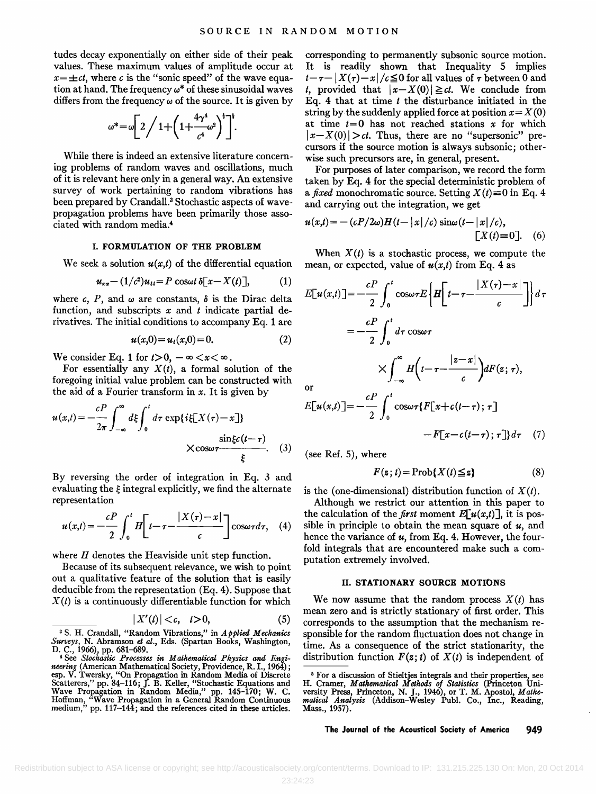**tudes decay exponentially on either side of their peak values. These maximum values of amplitude occur at**   $x = \pm ct$ , where c is the "sonic speed" of the wave equation at hand. The frequency  $\omega^*$  of these sinusoidal waves differs from the frequency  $\omega$  of the source. It is given by

$$
\omega^* = \omega \left[ 2 \bigg/ 1 + \left( 1 + \frac{4\gamma^4}{c^4} \omega^2 \right)^4 \right]^{\frac{1}{4}}.
$$

**While there is indeed an extensive literature concerning problems of random waves and oscillations, much of it is relevant here only in a general way. An extensive survey of work pertaining to random vibrations has**  been prepared by Crandall.<sup>3</sup> Stochastic aspects of wave**propagation problems have been primarily those associated with random media. 4** 

# **I. FORMULATION OF THE PROBLEM**

We seek a solution  $u(x,t)$  of the differential equation

$$
u_{xx}-(1/c^2)u_{tt}=P\cos\omega t\,\delta[x-X(t)],\qquad(1)
$$

where c, P, and  $\omega$  are constants,  $\delta$  is the Dirac delta **function, and subscripts x and t indicate partial derivatives. The initial conditions to accompany Eq. 1 are** 

$$
u(x,0) = u_t(x,0) = 0.
$$
 (2)

We consider Eq. 1 for  $t>0$ ,  $-\infty < x < \infty$ .

For essentially any  $X(t)$ , a formal solution of the **foregoing initial value problem can be constructed with the aid of a Fourier transform in x. It is given by** 

$$
u(x,t) = -\frac{cP}{2\pi} \int_{-\infty}^{\infty} d\xi \int_{0}^{t} d\tau \exp\{i\xi[X(\tau)-x]\}
$$
  
 
$$
\times \cos\omega \tau \frac{\sin\xi c(t-\tau)}{\xi}.
$$
 (3)

**By reversing the order of integration in Eq. 3 and**  evaluating the  $\xi$  integral explicitly, we find the alternate **representation** 

$$
u(x,t) = -\frac{cP}{2} \int_0^t H \left[ t - \tau - \frac{|X(\tau) - x|}{c} \right] \cos \omega \tau d\tau, \quad (4)
$$

**where H denotes the Heaviside unit step function.** 

**Because of its subsequent relevance, we wish to point out a qualitative feature of the solution that is easily deducible from the representation (Eq. 4). Suppose that**   $X(t)$  is a continuously differentiable function for which

$$
|X'(t)|0,\tag{5}
$$

**a S. H. Crandall, "Random Vibrations," in Applied Mechanics Surveys, N. Abramson et al., Eds. (Spartan Books, Washington, D. C., 1966), pp. 681-689.** 

**corresponding to permanently subsonic source motion. It is readily shown that Inequality 5 implies**   $t-\tau-|X(\tau)-x|/c \leq 0$  for all values of  $\tau$  between 0 and *t*, provided that  $|x-X(0)| \geq ct$ . We conclude from **Eq. 4 that at time t the disturbance initiated in the**  string by the suddenly applied force at position  $x = X(0)$ at time  $t=0$  has not reached stations  $x$  for which  $|x-X(0)| > ct$ . Thus, there are no "supersonic" pre**cursors if the source motion is always subsonic; otherwise such precursors are, in general, present.** 

**For purposes of later comparison, we record the form taken by Eq. 4 for the special deterministic problem of a** fixed monochromatic source. Setting  $X(t) \equiv 0$  in Eq. 4 **and carrying out the integration, we get** 

$$
u(x,t) = -(cP/2\omega)H(t-|x|/c)\sin\omega(t-|x|/c),
$$
  
[*X*(*t*)=0]. (6)

When  $X(t)$  is a stochastic process, we compute the mean, or expected, value of  $u(x,t)$  from Eq. 4 as

$$
E[u(x,t)] = -\frac{cP}{2} \int_0^t \cos \omega \tau E \left\{ H \left[ t - \tau - \frac{|X(\tau) - x|}{c} \right] \right\} d\tau
$$
  
=  $-\frac{cP}{2} \int_0^t d\tau \cos \omega \tau$   
 $\times \int_{-\infty}^{\infty} H \left( t - \tau - \frac{|z - x|}{c} \right) dF(z; \tau),$ 

**or** 

$$
E[u(x,t)] = -\frac{cP}{2} \int_0^t \cos \omega \tau \{F[x+c(t-\tau); \tau] -F[x-c(t-\tau); \tau]\} d\tau \quad (7)
$$

**(see Ref. 5), where** 

$$
F(z; t) = \text{Prob}\{X(t) \leq z\}
$$
 (8)

is the (one-dimensional) distribution function of  $X(t)$ .

**Although we restrict our attention in this paper to**  the calculation of the *first* moment  $E[u(x,t)]$ , it is possible in principle to obtain the mean square of  $u$ , and **hence the variance of u, from Eq. 4. However, the fourfold integrals that are encountered make such a computation extremely involved.** 

#### **II. STATIONARY SOURCE MOTIONS**

We now assume that the random process  $X(t)$  has **mean zero and is strictly stationary of first order. This corresponds to the assumption that the mechanism responsible for the random fluctuation does not change in time. As a consequence of the strict stationarity, the**  distribution function  $F(z; t)$  of  $X(t)$  is independent of

**<sup>4</sup> See Stochastic Processes in Mathematical Physics and Engineering (American Mathematical Society, Providence, R. I., 1964);**  esp. V. Twersky, "On Propagation in Random Media of Discrete<br>Scatterers," pp. 84–116; J. B. Keller, "Stochastic Equations and<br>Wave Propagation in Random Media," pp. 145–170; W. C.<br>Hoffman, "Wave Propagation in a General Ra Hoffman, "Wave Propagation in a General Kandom Continuous medium," pp. 117-144; and the references cited in these articles.

**<sup>5</sup> For a discussion of Stieltjes integrals and their properties, see H. Cramer, Mathematical Methods of Statistics (Princeton Uni-versity Press, Princeton, N.J., 1946), or T. M. Apostol, Mathe-matical Analysis (Addison-Wesley Publ. Co., Inc., Reading, Mass., 1957)**.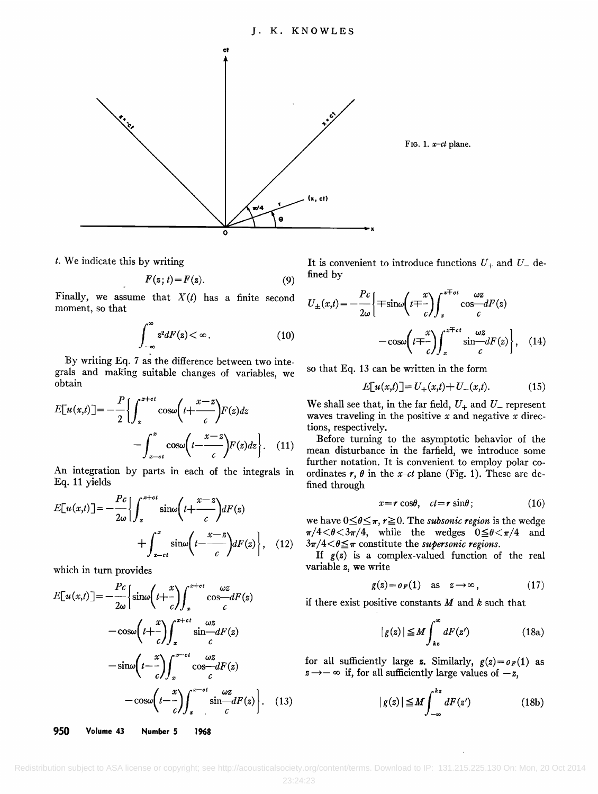

**t. We indicate this by writing** 

$$
F(z; t) = F(z). \tag{9}
$$

Finally, we assume that  $X(t)$  has a finite second  $\boldsymbol{K}(t)$ **moment, so that** 

$$
\int_{-\infty}^{\infty} z^2 dF(z) < \infty \, . \tag{10}
$$

**By writing Eq. 7 as the difference between two integrals and making suitable changes of variables, we obtain** 

$$
E[u(x,t)] = -\frac{P}{2} \left\{ \int_{x}^{x+ct} \cos\omega \left(t + \frac{x-z}{c}\right) F(z) dz - \int_{x-ct}^{x} \cos\omega \left(t - \frac{x-z}{c}\right) F(z) dz \right\}.
$$
 (11)

**An integration by parts in each of the integrals in Eq. 11 yields** 

$$
E[u(x,t)] = -\frac{Pc}{2\omega} \Biggl\{ \int_{x}^{x+ct} \sin\omega \biggl(t + \frac{x-z}{c}\biggr) dF(z) + \int_{x-ct}^{x} \sin\omega \biggl(t - \frac{x-z}{c}\biggr) dF(z) \Biggr\}, \quad (12)
$$

**which in turn provides** 

$$
E[u(x,t)] = -\frac{Pc}{2\omega} \left\{ \sin\omega \left(t + \frac{x}{c}\right) \int_{x}^{x+ct} \cos\frac{\omega z}{c} dF(z) \right\} \text{if there}
$$

$$
-\cos\omega \left(t + \frac{x}{c}\right) \int_{x}^{x+ct} \sin\frac{\omega z}{c} dF(z)
$$

$$
-\sin\omega \left(t - \frac{x}{c}\right) \int_{x}^{x-ct} \cos\frac{\omega z}{c} dF(z) \qquad \text{for all}
$$

$$
-\cos\omega \left(t - \frac{x}{c}\right) \int_{x}^{x-ct} \sin\frac{\omega z}{c} dF(z) \qquad z \to -\infty
$$

**950 Volume 43 Number 5 1968** 

It is convenient to introduce functions  $U_+$  and  $U_-$  de**fined by** 

$$
U_{\pm}(x,t) = -\frac{Pc}{2\omega} \left\{ \mp \sin\omega \left( t \mp \frac{x}{c} \right) \int_{x}^{x \mp ct} \cos\omega t F(z) - \cos\omega \left( t \mp \frac{x}{c} \right) \int_{x}^{x \mp ct} \sin\omega t F(z) \right\}, \quad (14)
$$

**so that Eq. 13 can be written in the form** 

$$
E[u(x,t)] = U_{+}(x,t) + U_{-}(x,t). \tag{15}
$$

We shall see that, in the far field,  $U_+$  and  $U_-$  represent **waves traveling in the positive x and negative x directions, respectively.** 

**Before turning to the asymptotic behavior of the mean disturbance in the farfield, we introduce some**  further notation. It is convenient to employ polar coordinates  $r$ ,  $\theta$  in the *x*-*ct* plane (Fig. 1). These are de**fined through** 

$$
x = r \cos\theta, \quad ct = r \sin\theta \tag{16}
$$

we have  $0 \leq \theta \leq \pi$ ,  $r \geq 0$ . The *subsonic region* is the wedge  $\pi/4 < \theta < 3\pi/4$ , while the wedges  $0 \le \theta < \pi/4$  and  $3\pi/4 < \theta \leq \pi$  constitute the *supersonic regions*.

**If g(z) is a complex-valued function of the real variable z, we write** 

$$
g(z) = o_F(1) \quad \text{as} \quad z \to \infty \,, \tag{17}
$$

**if there exist positive constants M and k such that** 

$$
|g(z)| \le M \int_{kz}^{\infty} dF(z') \tag{18a}
$$

for all sufficiently large z. Similarly,  $g(z) = o<sub>F</sub>(1)$  as  $z \rightarrow -\infty$  if, for all sufficiently large values of  $-z$ ,

$$
|g(z)| \leq M \int_{-\infty}^{kz} dF(z') \tag{18b}
$$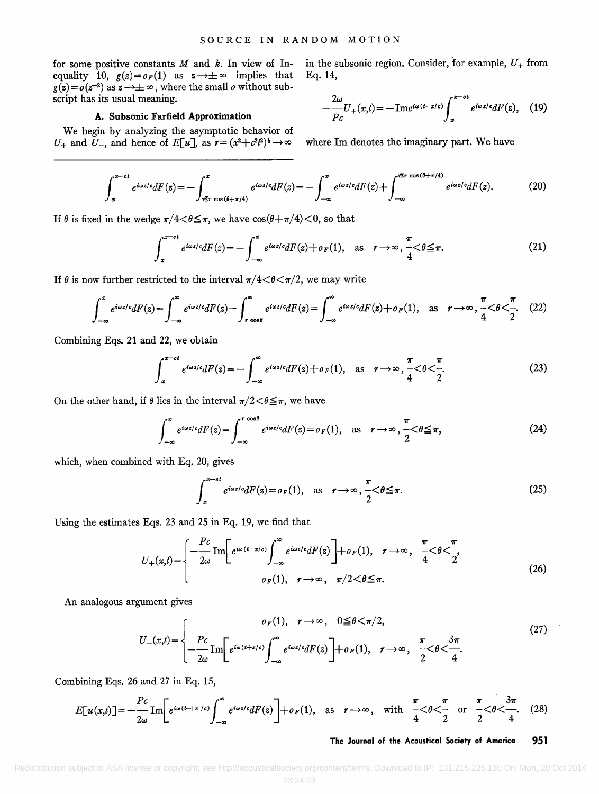**for some positive constants M and k. In view of In**equality 10,  $g(z) = o_F(1)$  as  $z \rightarrow \pm \infty$  implies that  $g(z) = o(z^{-2})$  as  $z \rightarrow \pm \infty$ , where the small *o* without sub**script has its usual meaning.** 

# **A. Subsonic Farfield Approximation**

**We begin by analyzing the asymptotic behavior of**   $U_+$  and  $U_-$ , and hence of  $E[u]$ , as  $r = (x^2 + c^2 t^2)^{\frac{1}{2}} \rightarrow \infty$ 

in the subsonic region. Consider, for example,  $U_+$  from **Eq. 14,** 

$$
-\frac{2\omega}{Pc}U_{+}(x,t)=-\mathrm{Im}e^{i\omega(t-x/c)}\int_{x}^{x-ct}e^{i\omega z/c}dF(z),\quad(19)
$$

**where Im denotes the imaginary part. We have** 

$$
\int_{x}^{x-\epsilon t} e^{i\omega z/\epsilon} dF(z) = -\int_{\sqrt{2}r}^{x} e^{i\omega z/\epsilon} dF(z) = -\int_{-\infty}^{x} e^{i\omega z/\epsilon} dF(z) + \int_{-\infty}^{\sqrt{2}r} \frac{\cos(\theta + \pi/4)}{e^{i\omega z/\epsilon} dF(z)}.
$$
 (20)

If  $\theta$  is fixed in the wedge  $\pi/4 < \theta \leq \pi$ , we have  $\cos(\theta + \pi/4) < 0$ , so that

$$
\int_{x}^{x-ct} e^{i\omega z/c} dF(z) = -\int_{-\infty}^{x} e^{i\omega z/c} dF(z) + o_F(1), \text{ as } r \to \infty, \frac{\pi}{4} < \theta \leq \pi.
$$
 (21)

If  $\theta$  is now further restricted to the interval  $\pi/4 < \theta < \pi/2$ , we may write

$$
\int_{-\infty}^{x} e^{i\omega z/c} dF(z) = \int_{-\infty}^{\infty} e^{i\omega z/c} dF(z) - \int_{r \cos\theta}^{\infty} e^{i\omega z/c} dF(z) = \int_{-\infty}^{\infty} e^{i\omega z/c} dF(z) + o_F(1), \text{ as } r \to \infty, \frac{\pi}{4} < \theta < \frac{\pi}{2}.
$$
 (22)

**Combining Eqs. 21 and 22, we obtain** 

$$
\int_{x}^{x-ct} e^{i\omega z/c} dF(z) = -\int_{-\infty}^{\infty} e^{i\omega z/c} dF(z) + o_F(1), \text{ as } r \to \infty, \frac{\pi}{4} < \theta < \frac{\pi}{2}.
$$
 (23)

On the other hand, if  $\theta$  lies in the interval  $\pi/2 < \theta \leq \pi$ , we have

$$
\int_{-\infty}^{x} e^{i\omega z/c} dF(z) = \int_{-\infty}^{r \cos \theta} e^{i\omega z/c} dF(z) = o_F(1), \text{ as } r \to \infty, \frac{\pi}{2} < \theta \leq \pi,
$$
 (24)

**which, when combined with Eq. 20, gives** 

$$
\int_{x}^{x-ct} e^{i\omega z/c} dF(z) = o_F(1), \text{ as } r \to \infty, \frac{\pi}{2} < \theta \leq \pi.
$$
 (25)

**Using the estimates Eqs. 23 and 25 in Eq. 19, we find that** 

$$
U_{+}(x,t) = \begin{cases} -\frac{Pc}{2\omega} \operatorname{Im} \left[ e^{i\omega(t-x/c)} \int_{-\infty}^{\infty} e^{i\omega z/c} dF(z) \right] + o_F(1), & r \to \infty, & \frac{\pi}{4} < \theta < \frac{\pi}{2}, \\ o_F(1), & r \to \infty, & \pi/2 < \theta \leq \pi. \end{cases}
$$
(26)

**An analogous argument gives** 

$$
U_{-}(x,t) = \begin{cases} \n0_F(1), & r \to \infty, \quad 0 \leq \theta < \pi/2, \\ \n-\frac{Pc}{2\omega} \operatorname{Im} \left[ e^{i\omega(t+x/c)} \int_{-\infty}^{\infty} e^{i\omega z/c} dF(z) \right] + o_F(1), & r \to \infty, \quad \frac{\pi}{2} < \theta < \frac{3\pi}{4}. \n\end{cases} \tag{27}
$$

**Combining Eqs. 26 and 27 in Eq. 15,** 

$$
E[u(x,t)] = -\frac{Pc}{2\omega} \operatorname{Im} \left[ e^{i\omega(t-|x|/c)} \int_{-\infty}^{\infty} e^{i\omega z/c} dF(z) \right] + o_F(1), \text{ as } r \to \infty, \text{ with } \frac{\pi}{4} < \theta < \frac{\pi}{2} \text{ or } \frac{\pi}{2} < \theta < \frac{3\pi}{4}. \tag{28}
$$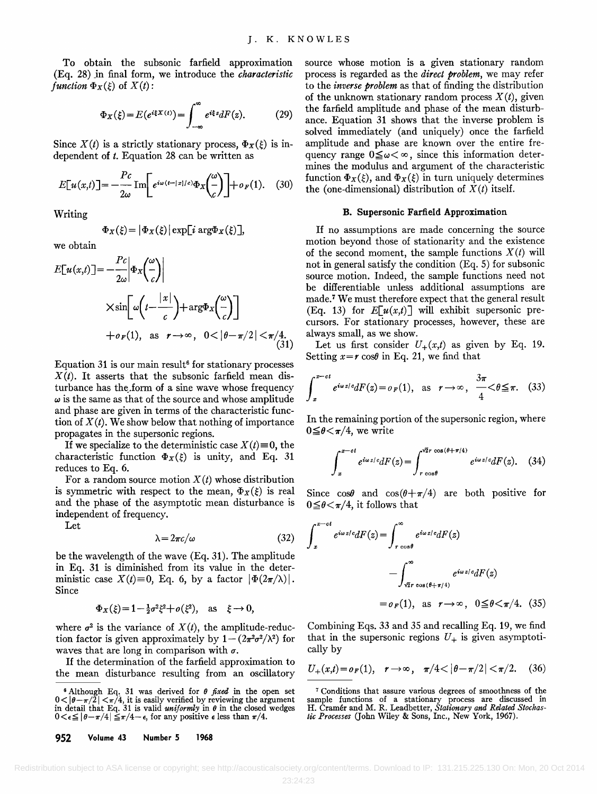**To obtain the subsonic farfield approximation (Eq. 28)jn final form, we introduce the characteristic**  function  $\Phi_X(\xi)$  of  $X(t)$ :

$$
\Phi_X(\xi) = E(e^{i\xi X(t)}) = \int_{-\infty}^{\infty} e^{i\xi z} dF(z). \tag{29}
$$

Since  $X(t)$  is a strictly stationary process,  $\Phi_X(\xi)$  is in**dependent of t. Equation 28 can be written as** 

$$
E[u(x,t)] = -\frac{Pc}{2\omega} \operatorname{Im} \left[ e^{i\omega(t-|x|/c)} \Phi_x \left( \frac{\omega}{c} \right) \right] + o_F(1). \quad (30)
$$

**Writing** 

$$
\Phi_X(\xi) = |\Phi_X(\xi)| \exp[i \arg \Phi_X(\xi)],
$$

**we obtain** 

$$
E[u(x,t)] = -\frac{Pc}{2\omega} \left| \Phi_X \left( \frac{\omega}{c} \right) \right|
$$
\n
$$
\times \sin \left[ \omega \left( t - \frac{|x|}{c} \right) + \arg \Phi_X \left( \frac{\omega}{c} \right) \right]
$$
\n
$$
+ o_F(1), \text{ as } r \to \infty, \quad 0 < |\theta - \pi/2| < \pi/4.
$$
\n
$$
\lim_{\text{cur}} \frac{\omega}{\sqrt{31}} = \frac{\pi}{1}
$$

Equation 31 is our main result<sup>6</sup> for stationary processes **X(t). It asserts that the subsonic farfield mean dis**turbance has the form of a sine wave whose frequency  $\omega$  is the same as that of the source and whose amplitude **and phase are given in terms of the characteristic function of X (t). We show below that nothing of importance propagates in the supersonic regions.** 

If we specialize to the deterministic case  $X(t)=0$ , the characteristic function  $\Phi_X(\xi)$  is unity, and Eq. 31 **reduces to Eq. 6.** 

For a random source motion  $X(t)$  whose distribution is symmetric with respect to the mean,  $\Phi_X(\xi)$  is real **and the phase of the asymptotic mean disturbance is independent of frequency.** 

**Let** 

$$
\lambda = 2\pi c/\omega \tag{32}
$$

**be the wavelength of the wave (Eq. 31). The amplitude in Eq. 31 is diminished from its value in the deter**ministic case  $X(t) \equiv 0$ , Eq. 6, by a factor  $|\Phi(2\pi/\lambda)|$ . **Since** 

$$
\Phi_X(\xi) = 1 - \frac{1}{2}\sigma^2 \xi^2 + o(\xi^2)
$$
, as  $\xi \to 0$ ,

where  $\sigma^2$  is the variance of  $X(t)$ , the amplitude-reduction factor is given approximately by  $1-(2\pi^2\sigma^2/\lambda^2)$  for waves that are long in comparison with  $\sigma$ .

**If the determination of the farfield approximation to the mean disturbance resulting from an oscillatory** 

**source whose motion is a given stationary random process is regarded as the direct problem, we may refer to the inverse problem as that of finding the distribution**  of the unknown stationary random process  $X(t)$ , given **the farfield amplitude and phase of the mean disturbance. Equation 31 shows that the inverse problem is solved immediately (and uniquely) once the farfield amplitude and phase are known over the entire fre**quency range  $0 \le \omega < \infty$ , since this information deter**mines the modulus and argument of the characteristic**  function  $\Phi_X(\xi)$ , and  $\Phi_X(\xi)$  in turn uniquely determines the (one-dimensional) distribution of  $X(t)$  itself.

# **B. Supersonic Farfield Approximation**

**If no assumptions are made concerning the source motion beyond those of stationarity and the existence**  of the second moment, the sample functions  $X(t)$  will **not in general satisfy the condition (Eq. 5) for subsonic source motion. Indeed, the sample functions need not be differentiable unless additional assumptions are made. 7 We must therefore expect that the general result**  (Eq. 13) for  $E[u(x,t)]$  will exhibit supersonic pre**cursors. For stationary processes, however, these are always small, as we show.** 

Let us first consider  $U_+(x,t)$  as given by Eq. 19. Setting  $x = r \cos\theta$  in Eq. 21, we find that

$$
\int_{x}^{x-ct} e^{i\omega z/c} dF(z) = o_F(1), \text{ as } r \to \infty, \frac{3\pi}{4} < \theta \leq \pi. \quad (33)
$$

**In the remaining portion of the supersonic region, where**   $0 \leq \theta \leq \pi/4$ , we write

$$
\int_{x}^{x-ct} e^{i\omega z/c} dF(z) = \int_{r \cos \theta}^{\sqrt{2}r \cos(\theta + \pi/4)} e^{i\omega z/c} dF(z).
$$
 (34)

Since  $\cos\theta$  and  $\cos(\theta + \pi/4)$  are both positive for  $0 \leq \theta \leq \pi/4$ , it follows that

$$
\int_{x}^{x-ct} e^{i\omega z/c} dF(z) = \int_{r \cos \theta}^{\infty} e^{i\omega z/c} dF(z)
$$

$$
- \int_{\sqrt{2}r \cos(\theta + \pi/4)}^{\infty} e^{i\omega z/c} dF(z)
$$

$$
= o_F(1), \text{ as } r \to \infty, \quad 0 \leq \theta < \pi/4. \quad (35)
$$

**Combining Eqs. 33 and 35 and recalling Eq. 19, we find**  that in the supersonic regions  $U_{+}$  is given asymptoti**cally by** 

$$
U_{+}(x,t) = o_{F}(1), \quad r \to \infty, \quad \pi/4 < |\theta - \pi/2| < \pi/2. \quad (36)
$$

<sup>&</sup>lt;sup>6</sup> Although Eq. 31 was derived for  $\theta$  *fixed* in the open set  $0 < |\theta - \pi/2| < \pi/4$ , it is easily verified by reviewing the argument in detail that Eq. 31 is valid *uniformly* in  $\theta$  in the closed wedges  $0 < \epsilon \le |\theta - \pi/4| \le \pi/4 - \epsilon$ , for any positive  $\epsilon$  less than  $\pi/4$ .

**<sup>952</sup> Volume 43 Number 5 1968** 

**<sup>7</sup> Conditions that assure various degrees of smoothness of the sample functions of a stationary process are discussed in H. Cramer and M. R. Leadbetter, Stationary and Related Stochastic Processes (John Wiley & Sons, Inc., New York, 1967).**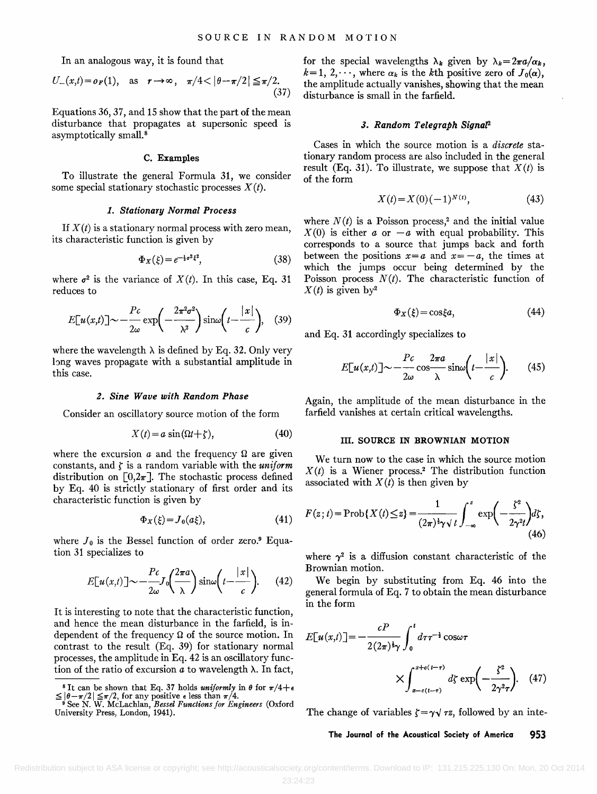**In an analogous way, it is found that** 

$$
U_{-}(x,t) = o_F(1), \quad \text{as} \quad r \to \infty, \quad \pi/4 < |\theta - \pi/2| \leq \pi/2. \tag{37}
$$

**Equations 36, 37, and 15 show that the part of the mean disturbance that propagates at supersonic speed is asymptotically small. 8** 

## **C. Examples**

**To illustrate the general Formula 31, we consider**  some special stationary stochastic processes  $X(t)$ .

# **1. Stationary Normal Process**

If  $X(t)$  is a stationary normal process with zero mean, **its characteristic function is given by** 

$$
\Phi_X(\xi) = e^{-\frac{1}{2}\sigma^2 \xi^2},\tag{38}
$$

where  $\sigma^2$  is the variance of  $X(t)$ . In this case, Eq. 31 **reduces to** 

$$
E[u(x,t)] \sim -\frac{Pc}{2\omega} \exp\left(-\frac{2\pi^2 \sigma^2}{\lambda^2}\right) \sin\omega \left(t - \frac{|x|}{c}\right), \quad (39)
$$
and Eq.

where the wavelength  $\lambda$  is defined by Eq. 32. Only very **long waves propagate with a substantial amplitude in this case.** 

#### **2. Sine Wave with Random Phase**

**Consider an oscillatory source motion of the form** 

$$
X(t) = a \sin(\Omega t + \zeta), \tag{40}
$$

where the excursion  $a$  and the frequency  $\Omega$  are given constants, and  $\zeta$  is a random variable with the *uniform* distribution on  $[0,2\pi]$ . The stochastic process defined **by Eq. 40 is strictly stationary of first order and its characteristic function is given by** 

$$
\Phi_X(\xi) = J_0(a\xi),\tag{41}
$$

where  $J_0$  is the Bessel function of order zero.<sup>9</sup> Equa**tion 31 specializes to** 

$$
E[u(x,t)] \sim -\frac{Pc}{2\omega} J_0\left(\frac{2\pi a}{\lambda}\right) \sin\omega \left(t - \frac{|x|}{c}\right). \tag{42}
$$

**It is interesting to note that the characteristic function, and hence the mean disturbance in the farfield, is in**dependent of the frequency  $\Omega$  of the source motion. In **contrast to the result (Eq. 39) for stationary normal processes, the amplitude in Eq. 42 is an oscillatory func**tion of the ratio of excursion  $a$  to wavelength  $\lambda$ . In fact, for the special wavelengths  $\lambda_k$  given by  $\lambda_k=2\pi a/\alpha_k$ ,  $k=1, 2,\dots$ , where  $\alpha_k$  is the k<sup>th</sup> positive zero of  $J_0(\alpha)$ , **the amplitude actually vanishes, showing that the mean disturbance is small in the farfield.** 

# **3. Random Telegraph SignaF**

**Cases in which the source motion is a discrete stationary random process are also included in the general**  result (Eq. 31). To illustrate, we suppose that  $X(t)$  is **of the form** 

$$
X(t) = X(0)(-1)^{N(t)}, \tag{43}
$$

where  $N(t)$  is a Poisson process,<sup>2</sup> and the initial value  $X(0)$  is either a or  $-a$  with equal probability. This **corresponds to a source that jumps back and forth**  between the positions  $x=a$  and  $x=-a$ , the times at **which the jumps occur being determined by the**  Poisson process  $N(t)$ . The characteristic function of  $X(t)$  is given by<sup>2</sup>

$$
\Phi_X(\xi) = \cos \xi a,\tag{44}
$$

**and Eq. 31 accordingly specializes to** 

$$
E[u(x,t)] \sim -\frac{Pc}{2\omega} \cos \frac{2\pi a}{\lambda} \sin \omega \left( t - \frac{|x|}{c} \right). \tag{45}
$$

**Again, the amplitude of the mean disturbance in the farfield vanishes at certain critical wavelengths.** 

## **III. SOURCE IN BROWNIAN MOTION**

**We turn now to the case in which the source motion**   $X(t)$  is a Wiener process.<sup>2</sup> The distribution function associated with  $X(t)$  is then given by

$$
F(z;t) = \text{Prob}\{X(t) \leq z\} = \frac{1}{(2\pi)^{\frac{1}{2}}\gamma \sqrt{t}} \int_{-\infty}^{z} \exp\left(-\frac{\zeta^2}{2\gamma^2 t}\right) d\zeta,
$$
\n(46)

where  $\gamma^2$  is a diffusion constant characteristic of the **Brownian motion.** 

 $\frac{P_c}{2\omega}J_0\left(\frac{2\pi a}{\lambda}\right)\sin\left(t-\frac{|x|}{c}\right)$ . (42) We begin by substituting from Eq. 46 into the general formula of Eq. 7 to obtain the mean disturbance **We begin by substituting from Eq. 46 into the in the form** 

$$
E[u(x,t)] = -\frac{cP}{2(2\pi)^{\frac{1}{2}}\gamma} \int_0^t d\tau \tau^{-\frac{1}{2}} \cos \omega \tau
$$

$$
\times \int_{x-c(t-\tau)}^{x+c(t-\tau)} d\zeta \exp\left(-\frac{\zeta^2}{2\gamma^2 \tau}\right). \quad (47)
$$

The change of variables  $\zeta = \gamma \sqrt{\tau z}$ , followed by an inte-

<sup>&</sup>lt;sup>8</sup> It can be shown that Eq. 37 holds *uniformly* in  $\theta$  for  $\pi/4+\epsilon$ 

 $\leq |\theta - \pi/2| \leq \pi/2$ , for any positive  $\epsilon$  less than  $\pi/4$ .<br>
<sup>9</sup> See N. W. McLachlan, *Bessel Functions for Engineers* (Oxford University Press, London, 1941).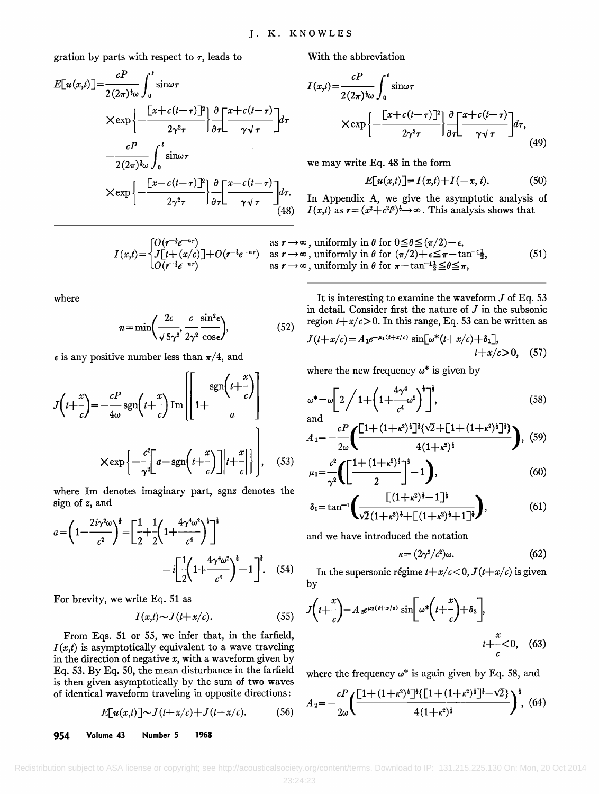gration by parts with respect to  $\tau$ , leads to

$$
E[u(x,t)] = \frac{cP}{2(2\pi)^{\frac{1}{2}\omega}} \int_0^t \sin \omega \tau
$$
\n
$$
\times \exp\left\{-\frac{\left[x+c(t-\tau)\right]^2}{2\gamma^2 \tau}\right\} \frac{\partial}{\partial \tau} \left[\frac{x+c(t-\tau)}{\gamma \sqrt{\tau}}\right] d\tau
$$
\n
$$
\times \exp\left\{-\frac{cP}{2(2\pi)^{\frac{1}{2}\omega}} \int_0^t \sin \omega \tau
$$
\nwe may write\n
$$
\times \exp\left\{-\frac{\left[x-c(t-\tau)\right]^2}{2\gamma^2 \tau}\right\} \frac{\partial}{\partial \tau} \left[\frac{x-c(t-\tau)}{\gamma \sqrt{\tau}}\right] d\tau.
$$
\nIn Appendix (48)  $I(x,t)$  as  $\tau = (t-\tau)$ .

**With the abbreviation** 

$$
I(x,t) = \frac{cP}{2(2\pi)^{\frac{1}{2}}\omega} \int_0^t \sin \omega \tau
$$
  
 
$$
\times \exp\left\{-\frac{\left[x+c(t-\tau)\right]^2}{2\gamma^2 \tau}\right\} \frac{\partial}{\partial \tau} \left[\frac{x+c(t-\tau)}{\gamma \sqrt{\tau}}\right] d\tau, \tag{49}
$$

**we may write Eq. 48 in the form** 

$$
E[u(x,t)] = I(x,t) + I(-x,t). \tag{50}
$$

**In Appendix A, we give the asymptotic analysis of**   $I(x,t)$  as  $r = (x^2+c^2t^2)^{\frac{1}{2}} \rightarrow \infty$ . This analysis shows that

$$
I(x,t) = \begin{cases} O(r^{-\frac{1}{2}}e^{-nr}) & \text{as } r \to \infty \text{, uniformly in } \theta \text{ for } 0 \le \theta \le (\pi/2) - \epsilon, \\ J[t+(x/c)]+O(r^{-\frac{1}{2}}e^{-nr}) & \text{as } r \to \infty \text{, uniformly in } \theta \text{ for } (\pi/2) + \epsilon \le \pi - \tan^{-1}\frac{1}{2}, \\ O(r^{-\frac{1}{2}}e^{-nr}) & \text{as } r \to \infty \text{, uniformly in } \theta \text{ for } \pi - \tan^{-1}\frac{1}{2} \le \theta \le \pi, \end{cases} \tag{51}
$$

**where** 

$$
n = \min\left(\frac{2c}{\sqrt{5\gamma^2}}, \frac{c}{2\gamma^2} \frac{\sin^2 \epsilon}{\cos \epsilon}\right),\tag{52}
$$

 $\epsilon$  is any positive number less than  $\pi/4$ , and

$$
J\left(t+\frac{x}{c}\right) = -\frac{cP}{4\omega}\operatorname{sgn}\left(t+\frac{x}{c}\right)\operatorname{Im}\left[\left[1+\frac{\operatorname{sgn}\left(t+\frac{x}{c}\right)}{a}\right]\right] \qquad \qquad \omega^* = \omega\left[2\left(1+\left(1+\frac{4\gamma^4}{c^4}\omega^2\right)^{\frac{1}{3}}\right)\right],
$$
\n
$$
\times \exp\left\{-\frac{c^2}{\gamma^2}\left[a-\operatorname{sgn}\left(t+\frac{x}{c}\right)\right]\right|t+\frac{x}{c}\right\}\right], \qquad (53)
$$
\n
$$
\omega^* = \omega\left[2\left(1+\left(1+\kappa^2\right)^{\frac{1}{3}}\right)^{\frac{1}{3}}\right],
$$
\n
$$
A_1 = -\frac{cP}{2\omega}\left(\frac{\left[1+(1+\kappa^2)^{\frac{1}{3}}\right]^{\frac{1}{3}}\left(\sqrt{2}-\frac{1}{3}\right)^{\frac{1}{3}}}{4(1+\frac{1}{3})^{\frac{1}{3}}}\right).
$$

**where Im denotes imaginary part, sgnz denotes the sign of z, and** 

$$
a = \left(1 - \frac{2i\gamma^2\omega}{c^2}\right)^{\frac{1}{2}} = \left[\frac{1}{2} + \frac{1}{2}\left(1 + \frac{4\gamma^4\omega^2}{c^4}\right)^{\frac{1}{2}}\right]^{\frac{1}{2}}
$$
 and w  
-i $\left[\frac{1}{2}\left(1 + \frac{4\gamma^4\omega^2}{c^4}\right)^{\frac{1}{2}} - 1\right]^{\frac{1}{2}}.$  (54) In t

**For brevity, we write Eq. 51 as** 

$$
I(x,t) \sim J(t+x/c). \tag{55}
$$

**From Eqs. 51 or 55, we infer that, in the farfield,**   $I(x,t)$  is asymptotically equivalent to a wave traveling **in the direction of negative x, with a waveform given by Eq. 53. By Eq. 50, the mean disturbance in the farfield is then given asymptotically by the sum of two waves of identical waveform traveling in opposite directions'** 

$$
E[u(x,t)] \sim J(t+x/c) + J(t-x/c). \tag{56}
$$

**954 Volume 43 Number 5 1968** 

**It is interesting to examine the waveform J of Eq. 53 in detail. Consider first the nature of J in the subsonic**  region  $t+x/c>0$ . In this range, Eq. 53 can be written as

$$
J(t+x/c) = A_1 e^{-\mu_1(t+x/c)} \sin[\omega^*(t+x/c) + \delta_1],
$$
  

$$
t+x/c>0, (57)
$$

where the new frequency  $\omega^*$  is given by

$$
\omega^* = \omega \left[ 2 \bigg/ 1 + \left( 1 + \frac{4\gamma^4}{c^4} \omega^2 \right)^{\frac{1}{2}} \right],\tag{58}
$$

and  

$$
A_1 = -\frac{cP}{2\omega} \left( \frac{\left[1 + (1 + \kappa^2)^{\frac{1}{2}}\right]^{\frac{1}{2}} \left(\sqrt{2} + \left[1 + (1 + \kappa^2)^{\frac{1}{2}}\right]^{\frac{1}{2}}\right]}{4(1 + \kappa^2)^{\frac{1}{2}}} \right), (59)
$$

$$
\mu_1 = \frac{c^2}{\gamma^2} \left( \left[ \frac{1 + (1 + \kappa^2)^{\frac{1}{2}}}{2} \right]^{\frac{1}{2}} - 1 \right), \tag{60}
$$

$$
\delta_1 = \tan^{-1} \left( \frac{[(1+\kappa^2)^{\frac{1}{2}}-1]^{\frac{1}{2}}}{\sqrt{2}(1+\kappa^2)^{\frac{1}{2}}+[(1+\kappa^2)^{\frac{1}{2}}+1]^{\frac{1}{2}}} \right),\tag{61}
$$

**and we have introduced the notation** 

$$
\kappa = (2\gamma^2/c^2)\omega. \tag{62}
$$

In the supersonic régime  $t+x/c < 0$ ,  $J(t+x/c)$  is given **by** 

$$
J\left(t+\frac{x}{c}\right) = A_2 e^{\mu_2(t+x/c)} \sin\left[\omega^*\left(t+\frac{x}{c}\right) + \delta_2\right],
$$
  

$$
t+\frac{x}{c} < 0, \quad (63)
$$

where the frequency  $\omega^*$  is again given by Eq. 58, and

$$
A_2 = -\frac{cP}{2\omega} \left( \frac{\left[1 + (1 + \kappa^2)^{\frac{1}{4}}\right]^{\frac{1}{4}} \left[1 + (1 + \kappa^2)^{\frac{1}{4}}\right]^{\frac{1}{4}} - \sqrt{2}}{4(1 + \kappa^2)^{\frac{1}{4}}} \right)^{\frac{1}{2}},
$$
(64)

Redistribution subject to ASA license or copyright; see http://acousticalsociety.org/content/terms. Download to IP: 131.215.225.130 On: Mon, 20 Oct 2014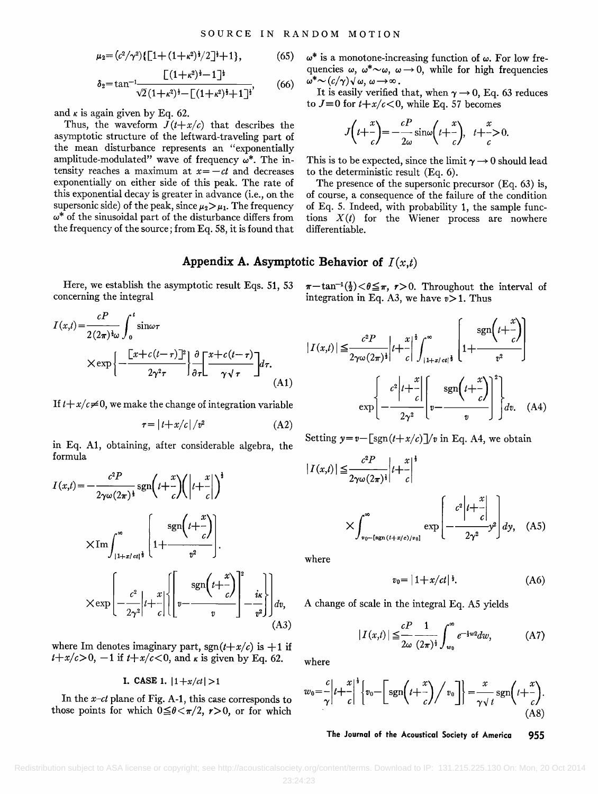$$
\mu_2 = (c^2/\gamma^2)\{[1 + (1+\kappa^2)^{\frac{1}{2}}/2]^{\frac{1}{2}} + 1\},\tag{65}
$$

$$
\delta_2 = \tan^{-1} \frac{\lfloor (1+\kappa^2)^{\frac{1}{2}} - 1 \rfloor^{\frac{1}{2}}}{\sqrt{2}(1+\kappa^2)^{\frac{1}{2}} - \lfloor (1+\kappa^2)^{\frac{1}{2}} + 1 \rfloor^{\frac{1}{2}}},\tag{66}
$$

and  $\kappa$  is again given by Eq. 62.

Thus, the waveform  $J(t+x/c)$  that describes the **asymptotic structure of the leftward-traveling part of the mean disturbance represents an "exponentially**  amplitude-modulated" wave of frequency  $\omega^*$ . The intensity reaches a maximum at  $x = -ct$  and decreases **exponentially on either side of this peak. The rate of this exponential decay is greater in advance (i.e., on the**  supersonic side) of the peak, since  $\mu_2 > \mu_1$ . The frequency **co\* of the sinusoidal part of the disturbance differs from the frequency of the source; from Eq. 58, it is found that**   $\omega^*$  is a monotone-increasing function of  $\omega$ . For low frequencies  $\omega$ ,  $\omega^* \sim \omega$ ,  $\omega \rightarrow 0$ , while for high frequencies  $\omega^* \sim (c/\gamma) \sqrt{\omega}, \omega \rightarrow \infty$ .

It is easily verified that, when  $\gamma \rightarrow 0$ , Eq. 63 reduces to  $J\equiv 0$  for  $t+x/c < 0$ , while Eq. 57 becomes

$$
J\left(t+\frac{x}{c}\right)=-\frac{cP}{2\omega}\sin\omega\left(t+\frac{x}{c}\right), \quad t+\frac{x}{c}>0.
$$

This is to be expected, since the limit  $\gamma \rightarrow 0$  should lead **to the deterministic result (Eq. 6).** 

**The presence of the supersonic precursor (Eq. 63) is, of course, a consequence ofthe failure of the condition of Eq. 5. Indeed, with probability 1, the sample functions X(t) for the Wiener process are nowhere differentiable.** 

# Appendix A. Asymptotic Behavior of  $I(x,t)$

**Here, we establish the asymptotic result Eqs. 51, 53 concerning the integral** 

$$
I(x,t) = \frac{cP}{2(2\pi)^{\frac{1}{2}}\omega} \int_0^t \sin \omega \tau
$$
  
 
$$
\times \exp \left\{ -\frac{\left[x + c(t-\tau)\right]^2}{2\gamma^2 \tau} \right\} \frac{\partial}{\partial \tau} \left[ \frac{x + c(t-\tau)}{\gamma \sqrt{\tau}} \right] d\tau.
$$
 (A1)

If  $t+x/c\neq0$ , we make the change of integration variable

$$
\tau = |t + x/c|/v^2 \tag{A2}
$$

**in Eq. A1, obtaining, after considerable algebra, the formula** 

$$
I(x,t) = -\frac{c^2 P}{2\gamma \omega (2\pi)^{\frac{1}{2}}} \operatorname{sgn}\left(t + \frac{x}{c}\right) \left( \left| t + \frac{x}{c} \right| \right)^{\frac{1}{2}}
$$

$$
\times \operatorname{Im} \int_{|1+z| \atop 1+z| \atop 2\gamma^2}^{\infty} \left\{ \operatorname{sgn}\left(t + \frac{x}{c}\right) \right\}.
$$

$$
\times \operatorname{exp}\left[ -\frac{c^2}{2\gamma^2} \left| t + \frac{x}{c} \right| \left\{ \left[ v - \frac{\operatorname{sgn}\left(t + \frac{x}{c}\right)}{v} \right]_{-v^2}^2 \right\} \right] dy,
$$
(A3)

where Im denotes imaginary part,  $sgn(t+x/c)$  is  $+1$  if  $t+x/c>0$ ,  $-1$  if  $t+x/c<0$ , and  $\kappa$  is given by Eq. 62.

## **I. CASE 1.**  $|1+x/ct|>1$

**In the x-ct plane of Fig. A-l, this case corresponds to** those points for which  $0 \leq \theta \leq \pi/2$ ,  $r > 0$ , or for which

 $\pi-\tan^{-1}(\frac{1}{2})<\theta\leq\pi$ ,  $r>0$ . Throughout the interval of integration in Eq. A3, we have  $v > 1$ . Thus

$$
|I(x,t)| \leq \frac{c^2 P}{2\gamma \omega(2\pi)^{\frac{1}{2}}} \Big| t + \frac{x}{c} \Big|^{\frac{1}{2}} \int_{|1+z/ct|^{\frac{1}{2}}}^{\infty} \left[ 1 + \frac{\operatorname{sgn}\left(t + \frac{x}{c}\right)}{t^2} \right]
$$

$$
\exp \left\{ -\frac{c^2 \Big| t + \frac{x}{c} \Big|}{2\gamma^2} \Bigg[ v - \frac{\operatorname{sgn}\left(t + \frac{x}{c}\right)}{v} \Bigg]^2 \right\} dv. \quad (A4)
$$

Setting  $y=v-\left[\frac{\text{sgn}(t+x/c)}{v}\right]$  in Eq. A4, we obtain

$$
|I(x,t)| \leq \frac{c^2 P}{2\gamma \omega(2\pi)^{\frac{1}{2}}} \Big| t + \frac{x}{c} \Big|^{\frac{1}{2}}
$$
  
 
$$
\times \int_{v_0 - (\text{sgn}(t+x/c)/v_0]}^{\infty} \exp \left( -\frac{c^2 \Big| t + \frac{x}{c} \Big|}{2\gamma^2} \right) dy, \quad (A5)
$$

**where** 

$$
v_0 = |1 + x/ct|^{\frac{1}{3}}.\tag{A6}
$$

**A change of scale in the integral Eq. A5 yields** 

$$
|I(x,t)| \leq \frac{cP}{2\omega} \frac{1}{(2\pi)^{\frac{1}{2}}} \int_{w_0}^{\infty} e^{-\frac{1}{2}w^2} dw, \tag{A7}
$$

**where** 

$$
w_0 = \frac{c}{\gamma} \left| t + \frac{x}{c} \right|^{\frac{1}{2}} \left\{ v_0 - \left[ \operatorname{sgn} \left( t + \frac{x}{c} \right) \middle/ v_0 \right] \right\} = \frac{x}{\gamma \sqrt{t}} \operatorname{sgn} \left( t + \frac{x}{c} \right). \tag{A8}
$$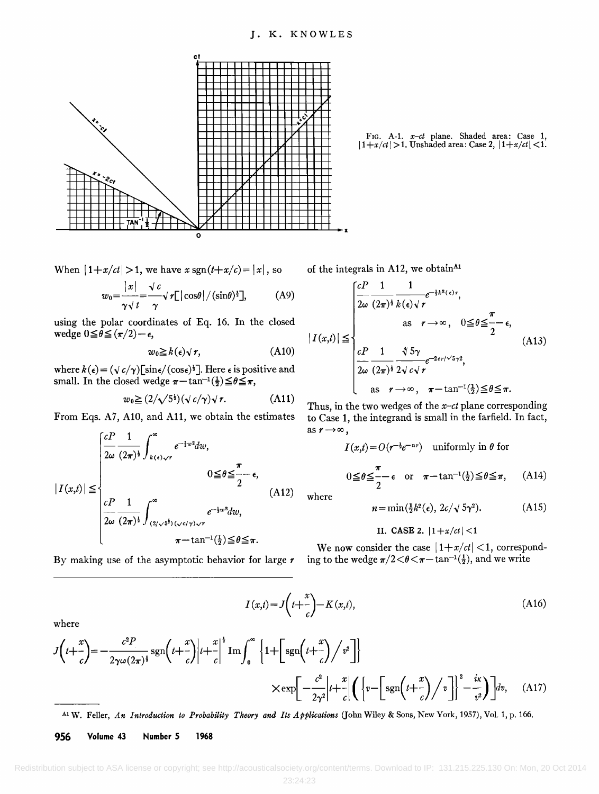

FIG. A-1.  $x-ct$  plane. Shaded area: Case 1,  $|1+x/ct| > 1$ . Unshaded area: Case 2,  $|1+x/ct| < 1$ .

When  $|1+x/ct| > 1$ , we have  $x \text{ sgn}(t+x/c) = |x|$ , so

$$
w_0 = \frac{|x|}{\gamma \sqrt{t}} = \frac{\sqrt{c}}{\gamma} \sqrt{r} \left[ |\cos\theta| / (\sin\theta)^{\frac{1}{2}} \right], \quad (A9)
$$

**using the polar coordinates of Eq. 16. In the closed**   $\text{wedge } 0 \leq \theta \leq (\pi/2) - \epsilon,$ 

$$
w_0 \geq k(\epsilon) \sqrt{r}, \qquad \qquad \text{(A10)}
$$

where  $k(\epsilon) = (\sqrt{c/\gamma})[\sin\epsilon/(\cos\epsilon)^{\frac{1}{2}}]$ . Here  $\epsilon$  is positive and **small.** In the closed wedge  $\pi - \tan^{-1}(\frac{1}{2}) \leq \theta \leq \pi$ ,

$$
w_0 \geq (2/\sqrt{5^2})(\sqrt{c}/\gamma)\sqrt{r}.
$$
 (A11)

**From Eqs. A7, A10, and All, we obtain the estimates** 

$$
|I(x,t)| \leq \begin{cases} \frac{cP}{2\omega} \frac{1}{(2\pi)^{\frac{1}{2}}} \int_{k(\epsilon)\sqrt{r}}^{\infty} e^{-\frac{1}{2}w^2} dw, & 0 \leq \theta \leq \frac{\pi}{2} - \epsilon, \\ \frac{cP}{2\omega} \frac{1}{(2\pi)^{\frac{1}{2}}} \int_{(2/\sqrt{5}^{\frac{1}{2}})(\sqrt{c}/\gamma)\sqrt{r}}^{\infty} e^{-\frac{1}{2}w^2} dw, & \pi - \tan^{-1}(\frac{1}{2}) \leq \theta \leq \pi. \end{cases}
$$
(A12)

**By making use of the asymptotic behavior for large r** 

of the integrals in A12, we obtain<sup>A1</sup>

$$
|I(x,t)| \leq \begin{cases} \frac{cP}{2\omega} \frac{1}{(2\pi)^{\frac{1}{2}}} \frac{1}{k(\epsilon)\sqrt{r}} e^{-\frac{1}{2}k^{2}(\epsilon)r}, \\ \text{as } r \to \infty, \quad 0 \leq \theta \leq \frac{\pi}{2} - \epsilon, \\ \frac{cP}{2\omega} \frac{1}{(2\pi)^{\frac{1}{2}}} \frac{\sqrt[4]{5}\gamma}{2\sqrt{c}\sqrt{r}} e^{-2c r/\sqrt{5}\gamma^{2}}, \\ \text{as } r \to \infty, \quad \pi - \tan^{-1}(\frac{1}{2}) \leq \theta \leq \pi. \end{cases} (A13)
$$

**Thus, in the two wedges of the x-ct plane corresponding to Case 1, the integrand is small in the farfield. In fact,**  as  $r \rightarrow \infty$ ,

$$
I(x,t) = O(r^{-\frac{1}{2}}e^{-nr})
$$
 uniformly in  $\theta$  for  

$$
0 \leq \theta \leq \frac{\pi}{2} - \epsilon
$$
 or  $\pi - \tan^{-1}(\frac{1}{2}) \leq \theta \leq \pi$ , (A14)

**where** 

$$
n = \min(\frac{1}{2}k^2(\epsilon), 2c/\sqrt{5}\gamma^2). \tag{A15}
$$

# **II. CASE 2.**  $|1+x/ct| < 1$

We now consider the case  $|1+x/ct|$  < 1, corresponding to the wedge  $\pi/2 < \theta < \pi - \tan^{-1}(\frac{1}{2})$ , and we write

$$
I(x,t) = J\left(t + \frac{x}{c}\right) - K(x,t),\tag{A16}
$$

**where** 

$$
J\left(t+\frac{x}{c}\right) = -\frac{c^2 P}{2\gamma\omega(2\pi)^{\frac{1}{2}}} \operatorname{sgn}\left(t+\frac{x}{c}\right) \Big| t+\frac{x}{c} \Big|^{\frac{1}{2}} \operatorname{Im} \int_0^\infty \left\{1+\left[\operatorname{sgn}\left(t+\frac{x}{c}\right)\middle/\nu^2\right] \right\} \times \exp\left[-\frac{c^2}{2\gamma^2} \Big| t+\frac{x}{c} \Big| \left(\left\{v-\left[\operatorname{sgn}\left(t+\frac{x}{c}\right)\middle/\nu\right] \right\}^2 - \frac{ik}{v^2}\right) \Big] dv,\tag{A17}
$$

**Xl W. Feller, An Introduction to Probability Theory and Its Applications (John Wiley & Sons, New York, 1957), Vol. 1, p. 166.** 

**956 Volume 43 Number 5 1968**